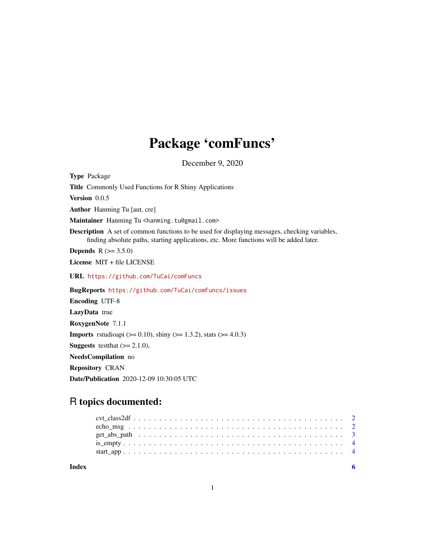# Package 'comFuncs'

December 9, 2020

Type Package Title Commonly Used Functions for R Shiny Applications Version 0.0.5 Author Hanming Tu [aut, cre] Maintainer Hanming Tu <hanming.tu@gmail.com> Description A set of common functions to be used for displaying messages, checking variables, finding absolute paths, starting applications, etc. More functions will be added later. **Depends**  $R (= 3.5.0)$ License MIT + file LICENSE URL <https://github.com/TuCai/comFuncs> BugReports <https://github.com/TuCai/comFuncs/issues> Encoding UTF-8 LazyData true RoxygenNote 7.1.1 **Imports** rstudioapi ( $> = 0.10$ ), shiny ( $> = 1.3.2$ ), stats ( $> = 4.0.3$ ) **Suggests** testthat  $(>= 2.1.0)$ , NeedsCompilation no Repository CRAN Date/Publication 2020-12-09 10:30:05 UTC

# R topics documented:

| Index |  |  |  |  |  |  |  |  |  |  |  |  |  |  |  |  |  |  |  |
|-------|--|--|--|--|--|--|--|--|--|--|--|--|--|--|--|--|--|--|--|
|       |  |  |  |  |  |  |  |  |  |  |  |  |  |  |  |  |  |  |  |
|       |  |  |  |  |  |  |  |  |  |  |  |  |  |  |  |  |  |  |  |
|       |  |  |  |  |  |  |  |  |  |  |  |  |  |  |  |  |  |  |  |
|       |  |  |  |  |  |  |  |  |  |  |  |  |  |  |  |  |  |  |  |
|       |  |  |  |  |  |  |  |  |  |  |  |  |  |  |  |  |  |  |  |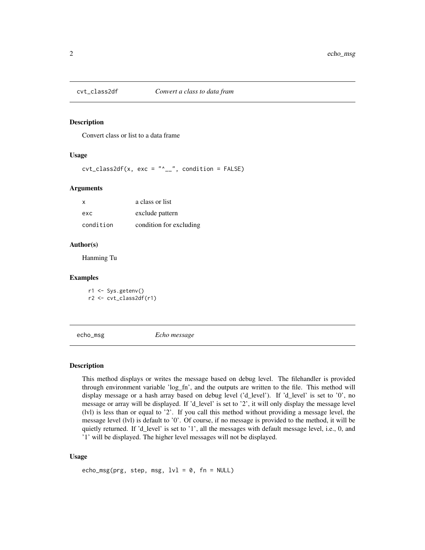<span id="page-1-0"></span>

#### Description

Convert class or list to a data frame

#### Usage

 $\text{cvt}\_\text{class2df}(x, \text{ exc} = \text{"`}\_\text{--}\text{"}, \text{ condition} = \text{FALSE})$ 

#### Arguments

| x         | a class or list         |
|-----------|-------------------------|
| exc       | exclude pattern         |
| condition | condition for excluding |

#### Author(s)

Hanming Tu

#### Examples

r1 <- Sys.getenv() r2 <- cvt\_class2df(r1)

echo\_msg *Echo message*

#### Description

This method displays or writes the message based on debug level. The filehandler is provided through environment variable 'log\_fn', and the outputs are written to the file. This method will display message or a hash array based on debug level ('d\_level'). If 'd\_level' is set to '0', no message or array will be displayed. If 'd\_level' is set to '2', it will only display the message level (lvl) is less than or equal to '2'. If you call this method without providing a message level, the message level (lvl) is default to '0'. Of course, if no message is provided to the method, it will be quietly returned. If 'd\_level' is set to '1', all the messages with default message level, i.e., 0, and '1' will be displayed. The higher level messages will not be displayed.

#### Usage

```
echo_msg(prg, step, msg, 1vl = 0, fn = NULL)
```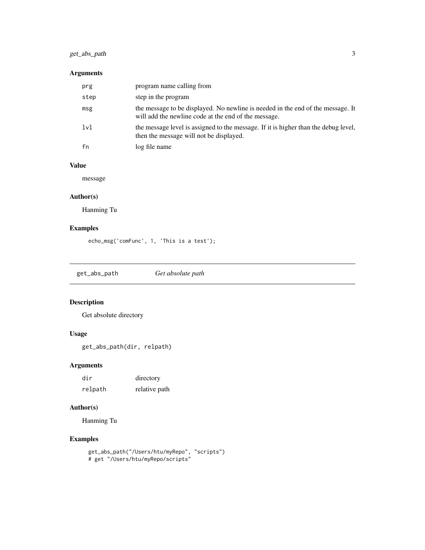# <span id="page-2-0"></span>get\_abs\_path 3

#### Arguments

| prg  | program name calling from                                                                                                               |
|------|-----------------------------------------------------------------------------------------------------------------------------------------|
| step | step in the program                                                                                                                     |
| msg  | the message to be displayed. No newline is needed in the end of the message. It<br>will add the newline code at the end of the message. |
| 1v1  | the message level is assigned to the message. If it is higher than the debug level,<br>then the message will not be displayed.          |
| fn   | log file name                                                                                                                           |

# Value

message

#### Author(s)

Hanming Tu

## Examples

```
echo_msg('comFunc', 1, 'This is a test');
```
get\_abs\_path *Get absolute path*

# Description

Get absolute directory

#### Usage

```
get_abs_path(dir, relpath)
```
#### Arguments

| dir     | directory     |
|---------|---------------|
| relpath | relative path |

# Author(s)

Hanming Tu

## Examples

```
get_abs_path("/Users/htu/myRepo", "scripts")
# get "/Users/htu/myRepo/scripts"
```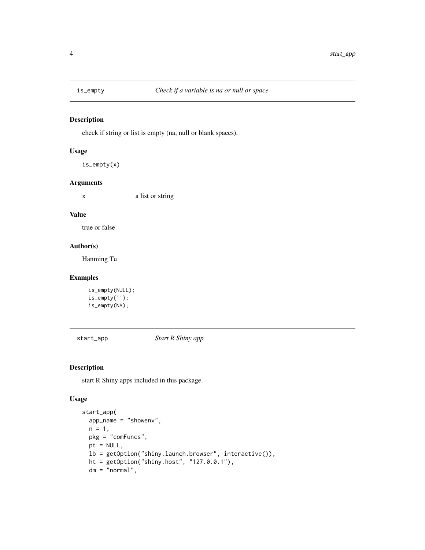<span id="page-3-0"></span>

#### Description

check if string or list is empty (na, null or blank spaces).

#### Usage

```
is_empty(x)
```
#### Arguments

x a list or string

#### Value

true or false

#### Author(s)

Hanming Tu

#### Examples

```
is_empty(NULL);
is_empty('');
is_empty(NA);
```
start\_app *Start R Shiny app*

### Description

start R Shiny apps included in this package.

#### Usage

```
start_app(
 app_name = "showenv",
 n = 1,
 pkg = "comFuncs",
 pt = NULL,lb = getOption("shiny.launch.browser", interactive()),
 ht = getOption("shiny.host", "127.0.0.1"),
 dm = "normal",
```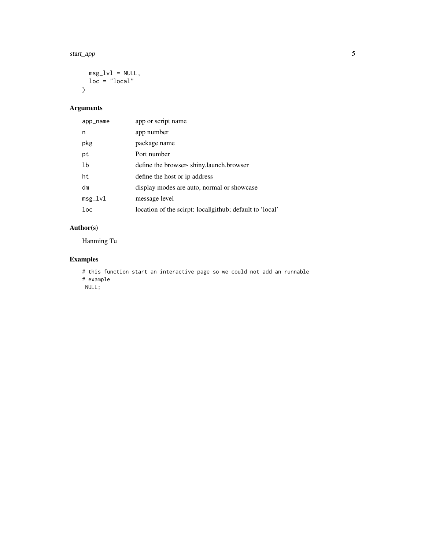#### start\_app 55

```
msg_lvl = NULL,\frac{1}{\log 2} = \frac{1}{\log 2}\mathcal{L}
```
# Arguments

| app_name  | app or script name                                       |
|-----------|----------------------------------------------------------|
| n         | app number                                               |
| pkg       | package name                                             |
| pt        | Port number                                              |
| 1b        | define the browser-shiny.launch.browser                  |
| ht        | define the host or ip address                            |
| dm        | display modes are auto, normal or showcase               |
| $msg_lvl$ | message level                                            |
| $1$ oc    | location of the scirpt: local github; default to 'local' |
|           |                                                          |

# Author(s)

Hanming Tu

#### Examples

```
# this function start an interactive page so we could not add an runnable
# example
```
NULL;